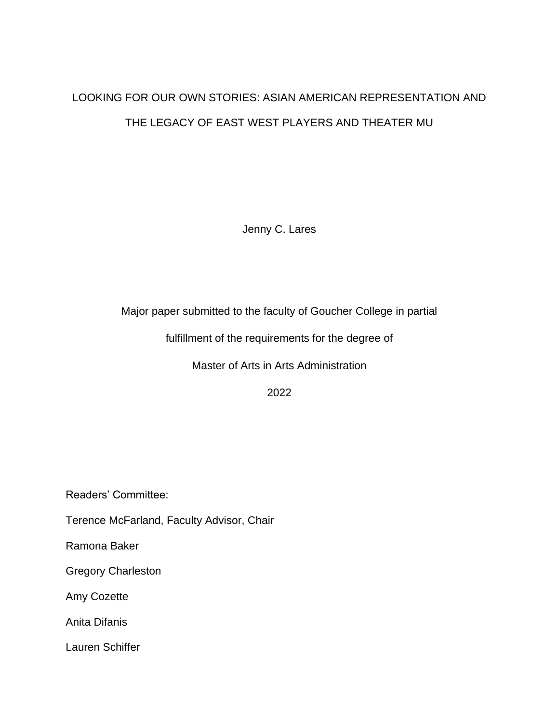# LOOKING FOR OUR OWN STORIES: ASIAN AMERICAN REPRESENTATION AND THE LEGACY OF EAST WEST PLAYERS AND THEATER MU

Jenny C. Lares

Major paper submitted to the faculty of Goucher College in partial

fulfillment of the requirements for the degree of

Master of Arts in Arts Administration

2022

Readers' Committee:

Terence McFarland, Faculty Advisor, Chair

Ramona Baker

Gregory Charleston

Amy Cozette

Anita Difanis

Lauren Schiffer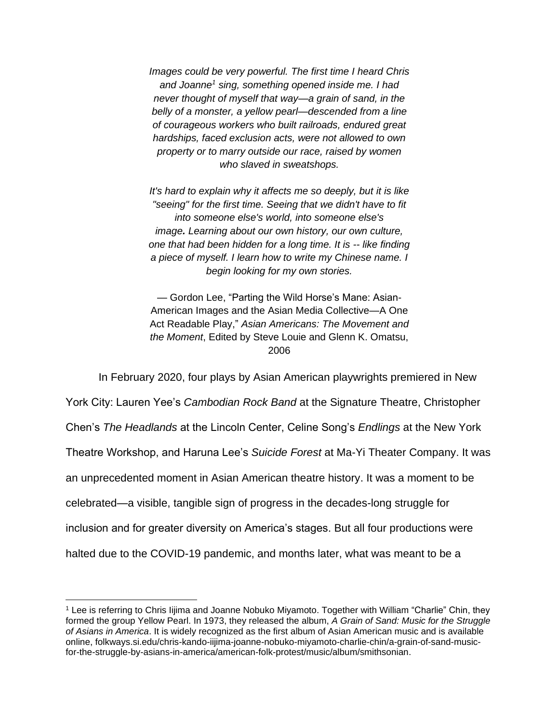*Images could be very powerful. The first time I heard Chris and Joanne<sup>1</sup> sing, something opened inside me. I had never thought of myself that way—a grain of sand, in the belly of a monster, a yellow pearl—descended from a line of courageous workers who built railroads, endured great hardships, faced exclusion acts, were not allowed to own property or to marry outside our race, raised by women who slaved in sweatshops.*

*It's hard to explain why it affects me so deeply, but it is like "seeing" for the first time. Seeing that we didn't have to fit into someone else's world, into someone else's image. Learning about our own history, our own culture, one that had been hidden for a long time. It is -- like finding a piece of myself. I learn how to write my Chinese name. I begin looking for my own stories.* 

— Gordon Lee, "Parting the Wild Horse's Mane: Asian-American Images and the Asian Media Collective—A One Act Readable Play," *Asian Americans: The Movement and the Moment*, Edited by Steve Louie and Glenn K. Omatsu, 2006

In February 2020, four plays by Asian American playwrights premiered in New

York City: Lauren Yee's *Cambodian Rock Band* at the Signature Theatre, Christopher Chen's *The Headlands* at the Lincoln Center, Celine Song's *Endlings* at the New York Theatre Workshop, and Haruna Lee's *Suicide Forest* at Ma-Yi Theater Company. It was an unprecedented moment in Asian American theatre history. It was a moment to be celebrated—a visible, tangible sign of progress in the decades-long struggle for inclusion and for greater diversity on America's stages. But all four productions were halted due to the COVID-19 pandemic, and months later, what was meant to be a

<sup>1</sup> Lee is referring to Chris Iijima and Joanne Nobuko Miyamoto. Together with William "Charlie" Chin, they formed the group Yellow Pearl. In 1973, they released the album, *A Grain of Sand: Music for the Struggle of Asians in America*. It is widely recognized as the first album of Asian American music and is available online, folkways.si.edu/chris-kando-iijima-joanne-nobuko-miyamoto-charlie-chin/a-grain-of-sand-musicfor-the-struggle-by-asians-in-america/american-folk-protest/music/album/smithsonian.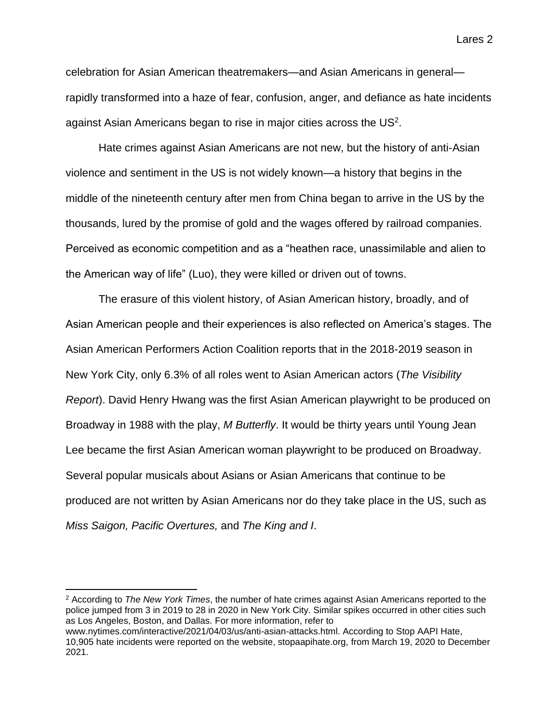celebration for Asian American theatremakers—and Asian Americans in general rapidly transformed into a haze of fear, confusion, anger, and defiance as hate incidents against Asian Americans began to rise in major cities across the US<sup>2</sup>.

Hate crimes against Asian Americans are not new, but the history of anti-Asian violence and sentiment in the US is not widely known—a history that begins in the middle of the nineteenth century after men from China began to arrive in the US by the thousands, lured by the promise of gold and the wages offered by railroad companies. Perceived as economic competition and as a "heathen race, unassimilable and alien to the American way of life" (Luo), they were killed or driven out of towns.

The erasure of this violent history, of Asian American history, broadly, and of Asian American people and their experiences is also reflected on America's stages. The Asian American Performers Action Coalition reports that in the 2018-2019 season in New York City, only 6.3% of all roles went to Asian American actors (*The Visibility Report*). David Henry Hwang was the first Asian American playwright to be produced on Broadway in 1988 with the play, *M Butterfly*. It would be thirty years until Young Jean Lee became the first Asian American woman playwright to be produced on Broadway. Several popular musicals about Asians or Asian Americans that continue to be produced are not written by Asian Americans nor do they take place in the US, such as *Miss Saigon, Pacific Overtures,* and *The King and I*.

<sup>2</sup> According to *The New York Times*, the number of hate crimes against Asian Americans reported to the police jumped from 3 in 2019 to 28 in 2020 in New York City. Similar spikes occurred in other cities such as Los Angeles, Boston, and Dallas. For more information, refer to

www.nytimes.com/interactive/2021/04/03/us/anti-asian-attacks.html. According to Stop AAPI Hate, 10,905 hate incidents were reported on the website, stopaapihate.org, from March 19, 2020 to December 2021.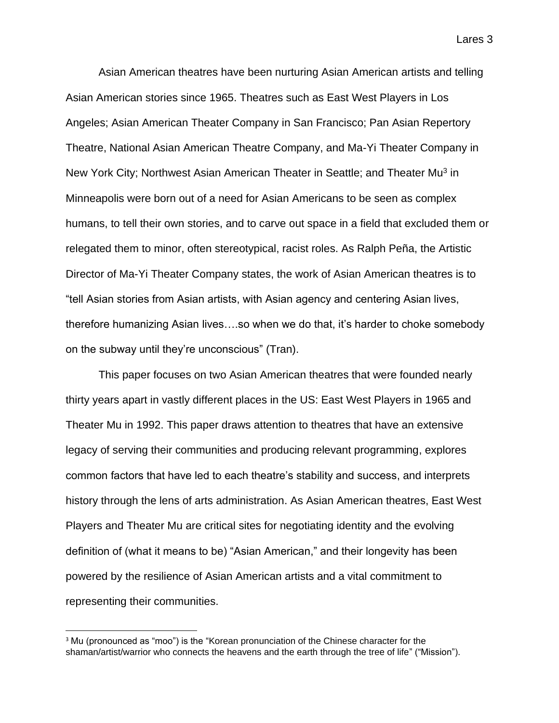Asian American theatres have been nurturing Asian American artists and telling Asian American stories since 1965. Theatres such as East West Players in Los Angeles; Asian American Theater Company in San Francisco; Pan Asian Repertory Theatre, National Asian American Theatre Company, and Ma-Yi Theater Company in New York City; Northwest Asian American Theater in Seattle; and Theater Mu<sup>3</sup> in Minneapolis were born out of a need for Asian Americans to be seen as complex humans, to tell their own stories, and to carve out space in a field that excluded them or relegated them to minor, often stereotypical, racist roles. As Ralph Peña, the Artistic Director of Ma-Yi Theater Company states, the work of Asian American theatres is to "tell Asian stories from Asian artists, with Asian agency and centering Asian lives, therefore humanizing Asian lives….so when we do that, it's harder to choke somebody on the subway until they're unconscious" (Tran).

This paper focuses on two Asian American theatres that were founded nearly thirty years apart in vastly different places in the US: East West Players in 1965 and Theater Mu in 1992. This paper draws attention to theatres that have an extensive legacy of serving their communities and producing relevant programming, explores common factors that have led to each theatre's stability and success, and interprets history through the lens of arts administration. As Asian American theatres, East West Players and Theater Mu are critical sites for negotiating identity and the evolving definition of (what it means to be) "Asian American," and their longevity has been powered by the resilience of Asian American artists and a vital commitment to representing their communities.

<sup>&</sup>lt;sup>3</sup> Mu (pronounced as "moo") is the "Korean pronunciation of the Chinese character for the shaman/artist/warrior who connects the heavens and the earth through the tree of life" ("Mission").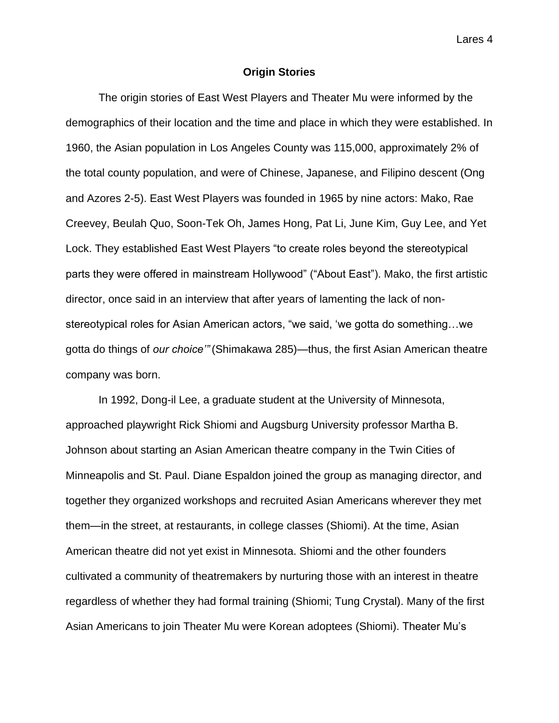### **Origin Stories**

The origin stories of East West Players and Theater Mu were informed by the demographics of their location and the time and place in which they were established. In 1960, the Asian population in Los Angeles County was 115,000, approximately 2% of the total county population, and were of Chinese, Japanese, and Filipino descent (Ong and Azores 2-5). East West Players was founded in 1965 by nine actors: Mako, Rae Creevey, Beulah Quo, Soon-Tek Oh, James Hong, Pat Li, June Kim, Guy Lee, and Yet Lock. They established East West Players "to create roles beyond the stereotypical parts they were offered in mainstream Hollywood" ("About East"). Mako, the first artistic director, once said in an interview that after years of lamenting the lack of nonstereotypical roles for Asian American actors, "we said, 'we gotta do something…we gotta do things of *our choice'"* (Shimakawa 285)—thus, the first Asian American theatre company was born.

In 1992, Dong-il Lee, a graduate student at the University of Minnesota, approached playwright Rick Shiomi and Augsburg University professor Martha B. Johnson about starting an Asian American theatre company in the Twin Cities of Minneapolis and St. Paul. Diane Espaldon joined the group as managing director, and together they organized workshops and recruited Asian Americans wherever they met them—in the street, at restaurants, in college classes (Shiomi). At the time, Asian American theatre did not yet exist in Minnesota. Shiomi and the other founders cultivated a community of theatremakers by nurturing those with an interest in theatre regardless of whether they had formal training (Shiomi; Tung Crystal). Many of the first Asian Americans to join Theater Mu were Korean adoptees (Shiomi). Theater Mu's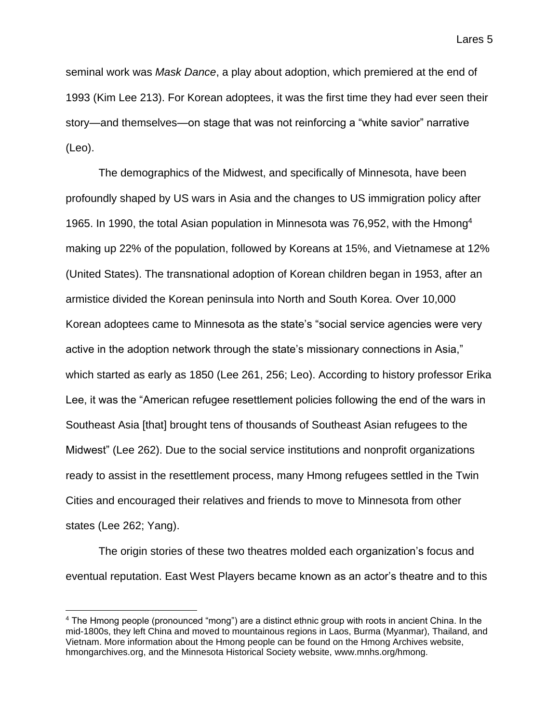seminal work was *Mask Dance*, a play about adoption, which premiered at the end of 1993 (Kim Lee 213). For Korean adoptees, it was the first time they had ever seen their story—and themselves—on stage that was not reinforcing a "white savior" narrative (Leo).

The demographics of the Midwest, and specifically of Minnesota, have been profoundly shaped by US wars in Asia and the changes to US immigration policy after 1965. In 1990, the total Asian population in Minnesota was 76,952, with the Hmong<sup>4</sup> making up 22% of the population, followed by Koreans at 15%, and Vietnamese at 12% (United States). The transnational adoption of Korean children began in 1953, after an armistice divided the Korean peninsula into North and South Korea. Over 10,000 Korean adoptees came to Minnesota as the state's "social service agencies were very active in the adoption network through the state's missionary connections in Asia," which started as early as 1850 (Lee 261, 256; Leo). According to history professor Erika Lee, it was the "American refugee resettlement policies following the end of the wars in Southeast Asia [that] brought tens of thousands of Southeast Asian refugees to the Midwest" (Lee 262). Due to the social service institutions and nonprofit organizations ready to assist in the resettlement process, many Hmong refugees settled in the Twin Cities and encouraged their relatives and friends to move to Minnesota from other states (Lee 262; Yang).

The origin stories of these two theatres molded each organization's focus and eventual reputation. East West Players became known as an actor's theatre and to this

<sup>4</sup> The Hmong people (pronounced "mong") are a distinct ethnic group with roots in ancient China. In the mid-1800s, they left China and moved to mountainous regions in Laos, Burma (Myanmar), Thailand, and Vietnam. More information about the Hmong people can be found on the Hmong Archives website, hmongarchives.org, and the Minnesota Historical Society website, www.mnhs.org/hmong.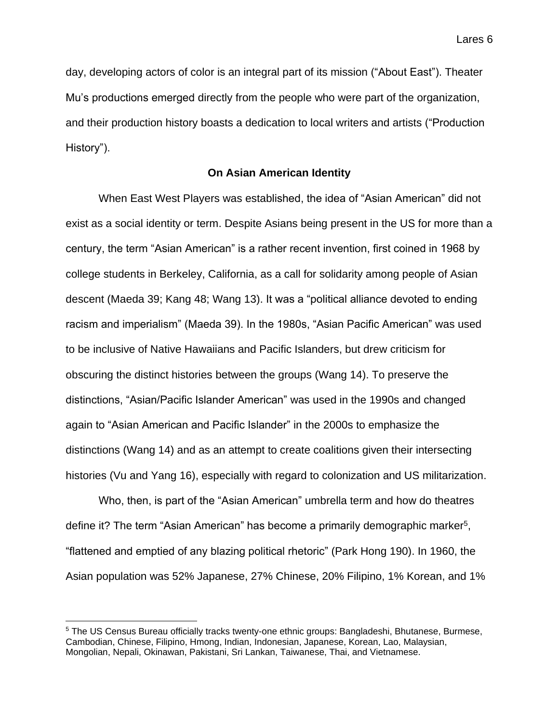day, developing actors of color is an integral part of its mission ("About East"). Theater Mu's productions emerged directly from the people who were part of the organization, and their production history boasts a dedication to local writers and artists ("Production History").

### **On Asian American Identity**

When East West Players was established, the idea of "Asian American" did not exist as a social identity or term. Despite Asians being present in the US for more than a century, the term "Asian American" is a rather recent invention, first coined in 1968 by college students in Berkeley, California, as a call for solidarity among people of Asian descent (Maeda 39; Kang 48; Wang 13). It was a "political alliance devoted to ending racism and imperialism" (Maeda 39). In the 1980s, "Asian Pacific American" was used to be inclusive of Native Hawaiians and Pacific Islanders, but drew criticism for obscuring the distinct histories between the groups (Wang 14). To preserve the distinctions, "Asian/Pacific Islander American" was used in the 1990s and changed again to "Asian American and Pacific Islander" in the 2000s to emphasize the distinctions (Wang 14) and as an attempt to create coalitions given their intersecting histories (Vu and Yang 16), especially with regard to colonization and US militarization.

Who, then, is part of the "Asian American" umbrella term and how do theatres define it? The term "Asian American" has become a primarily demographic marker<sup>5</sup>, "flattened and emptied of any blazing political rhetoric" (Park Hong 190). In 1960, the Asian population was 52% Japanese, 27% Chinese, 20% Filipino, 1% Korean, and 1%

<sup>5</sup> The US Census Bureau officially tracks twenty-one ethnic groups: Bangladeshi, Bhutanese, Burmese, Cambodian, Chinese, Filipino, Hmong, Indian, Indonesian, Japanese, Korean, Lao, Malaysian, Mongolian, Nepali, Okinawan, Pakistani, Sri Lankan, Taiwanese, Thai, and Vietnamese.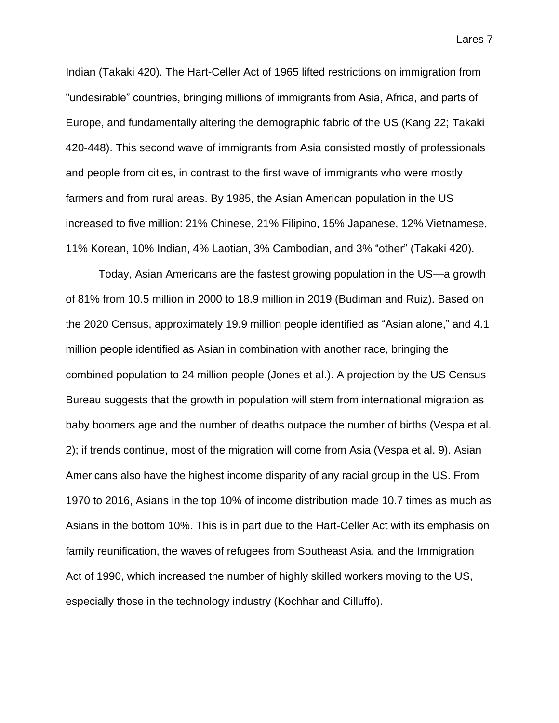Indian (Takaki 420). The Hart-Celler Act of 1965 lifted restrictions on immigration from "undesirable" countries, bringing millions of immigrants from Asia, Africa, and parts of Europe, and fundamentally altering the demographic fabric of the US (Kang 22; Takaki 420-448). This second wave of immigrants from Asia consisted mostly of professionals and people from cities, in contrast to the first wave of immigrants who were mostly farmers and from rural areas. By 1985, the Asian American population in the US increased to five million: 21% Chinese, 21% Filipino, 15% Japanese, 12% Vietnamese, 11% Korean, 10% Indian, 4% Laotian, 3% Cambodian, and 3% "other" (Takaki 420).

Today, Asian Americans are the fastest growing population in the US—a growth of 81% from 10.5 million in 2000 to 18.9 million in 2019 (Budiman and Ruiz). Based on the 2020 Census, approximately 19.9 million people identified as "Asian alone," and 4.1 million people identified as Asian in combination with another race, bringing the combined population to 24 million people (Jones et al.). A projection by the US Census Bureau suggests that the growth in population will stem from international migration as baby boomers age and the number of deaths outpace the number of births (Vespa et al. 2); if trends continue, most of the migration will come from Asia (Vespa et al. 9). Asian Americans also have the highest income disparity of any racial group in the US. From 1970 to 2016, Asians in the top 10% of income distribution made 10.7 times as much as Asians in the bottom 10%. This is in part due to the Hart-Celler Act with its emphasis on family reunification, the waves of refugees from Southeast Asia, and the Immigration Act of 1990, which increased the number of highly skilled workers moving to the US, especially those in the technology industry (Kochhar and Cilluffo).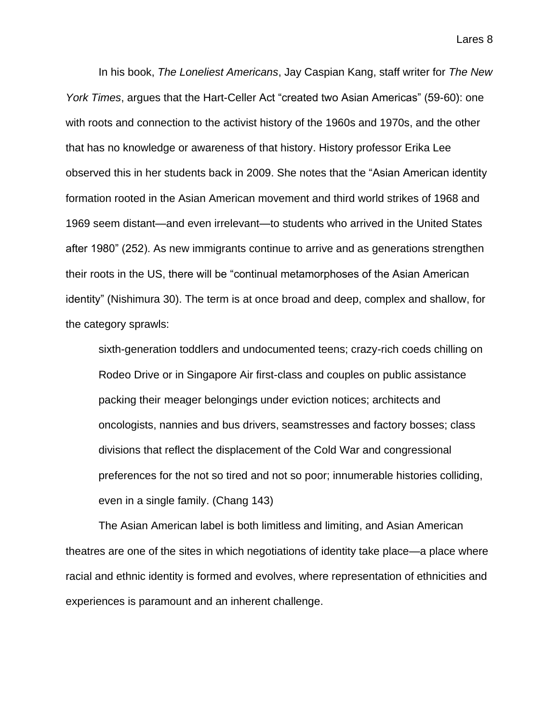In his book, *The Loneliest Americans*, Jay Caspian Kang, staff writer for *The New York Times*, argues that the Hart-Celler Act "created two Asian Americas" (59-60): one with roots and connection to the activist history of the 1960s and 1970s, and the other that has no knowledge or awareness of that history. History professor Erika Lee observed this in her students back in 2009. She notes that the "Asian American identity formation rooted in the Asian American movement and third world strikes of 1968 and 1969 seem distant—and even irrelevant—to students who arrived in the United States after 1980" (252). As new immigrants continue to arrive and as generations strengthen their roots in the US, there will be "continual metamorphoses of the Asian American identity" (Nishimura 30). The term is at once broad and deep, complex and shallow, for the category sprawls:

sixth-generation toddlers and undocumented teens; crazy-rich coeds chilling on Rodeo Drive or in Singapore Air first-class and couples on public assistance packing their meager belongings under eviction notices; architects and oncologists, nannies and bus drivers, seamstresses and factory bosses; class divisions that reflect the displacement of the Cold War and congressional preferences for the not so tired and not so poor; innumerable histories colliding, even in a single family. (Chang 143)

The Asian American label is both limitless and limiting, and Asian American theatres are one of the sites in which negotiations of identity take place—a place where racial and ethnic identity is formed and evolves, where representation of ethnicities and experiences is paramount and an inherent challenge.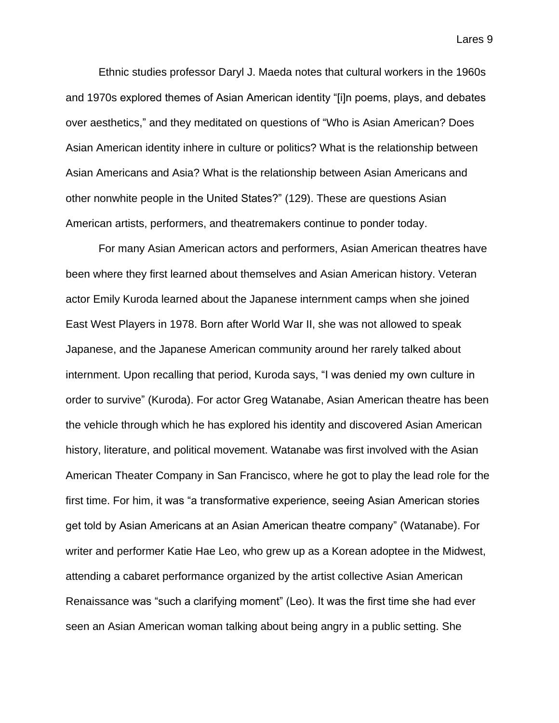Ethnic studies professor Daryl J. Maeda notes that cultural workers in the 1960s and 1970s explored themes of Asian American identity "[i]n poems, plays, and debates over aesthetics," and they meditated on questions of "Who is Asian American? Does Asian American identity inhere in culture or politics? What is the relationship between Asian Americans and Asia? What is the relationship between Asian Americans and other nonwhite people in the United States?" (129). These are questions Asian American artists, performers, and theatremakers continue to ponder today.

For many Asian American actors and performers, Asian American theatres have been where they first learned about themselves and Asian American history. Veteran actor Emily Kuroda learned about the Japanese internment camps when she joined East West Players in 1978. Born after World War II, she was not allowed to speak Japanese, and the Japanese American community around her rarely talked about internment. Upon recalling that period, Kuroda says, "I was denied my own culture in order to survive" (Kuroda). For actor Greg Watanabe, Asian American theatre has been the vehicle through which he has explored his identity and discovered Asian American history, literature, and political movement. Watanabe was first involved with the Asian American Theater Company in San Francisco, where he got to play the lead role for the first time. For him, it was "a transformative experience, seeing Asian American stories get told by Asian Americans at an Asian American theatre company" (Watanabe). For writer and performer Katie Hae Leo, who grew up as a Korean adoptee in the Midwest, attending a cabaret performance organized by the artist collective Asian American Renaissance was "such a clarifying moment" (Leo). It was the first time she had ever seen an Asian American woman talking about being angry in a public setting. She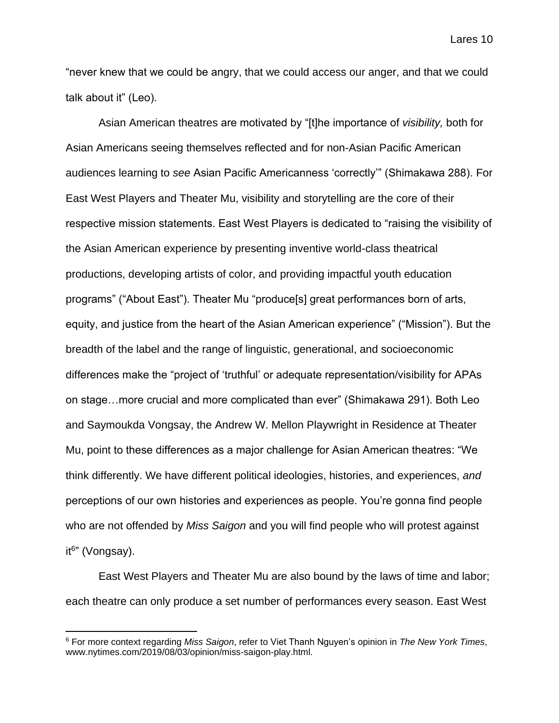"never knew that we could be angry, that we could access our anger, and that we could talk about it" (Leo).

Asian American theatres are motivated by "[t]he importance of *visibility,* both for Asian Americans seeing themselves reflected and for non-Asian Pacific American audiences learning to *see* Asian Pacific Americanness 'correctly'" (Shimakawa 288). For East West Players and Theater Mu, visibility and storytelling are the core of their respective mission statements. East West Players is dedicated to "raising the visibility of the Asian American experience by presenting inventive world-class theatrical productions, developing artists of color, and providing impactful youth education programs" ("About East"). Theater Mu "produce[s] great performances born of arts, equity, and justice from the heart of the Asian American experience" ("Mission"). But the breadth of the label and the range of linguistic, generational, and socioeconomic differences make the "project of 'truthful' or adequate representation/visibility for APAs on stage…more crucial and more complicated than ever" (Shimakawa 291). Both Leo and Saymoukda Vongsay, the Andrew W. Mellon Playwright in Residence at Theater Mu, point to these differences as a major challenge for Asian American theatres: "We think differently. We have different political ideologies, histories, and experiences, *and*  perceptions of our own histories and experiences as people. You're gonna find people who are not offended by *Miss Saigon* and you will find people who will protest against it6 " (Vongsay).

East West Players and Theater Mu are also bound by the laws of time and labor; each theatre can only produce a set number of performances every season. East West

<sup>6</sup> For more context regarding *Miss Saigon*, refer to Viet Thanh Nguyen's opinion in *The New York Times*, www.nytimes.com/2019/08/03/opinion/miss-saigon-play.html.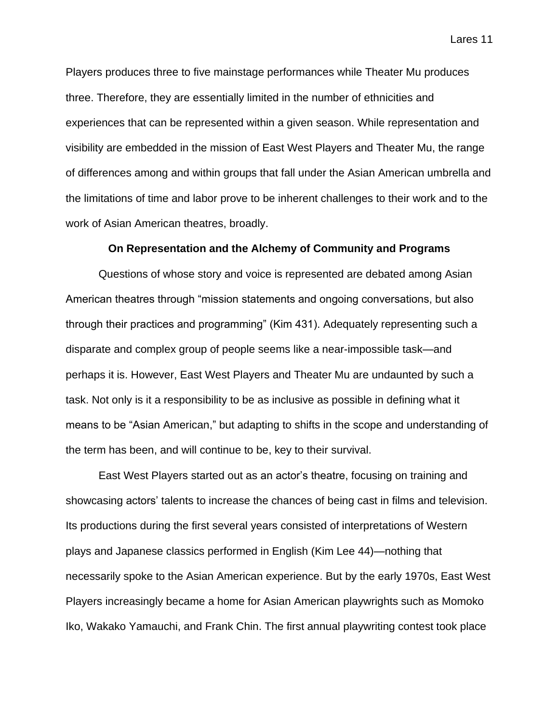Players produces three to five mainstage performances while Theater Mu produces three. Therefore, they are essentially limited in the number of ethnicities and experiences that can be represented within a given season. While representation and visibility are embedded in the mission of East West Players and Theater Mu, the range of differences among and within groups that fall under the Asian American umbrella and the limitations of time and labor prove to be inherent challenges to their work and to the work of Asian American theatres, broadly.

### **On Representation and the Alchemy of Community and Programs**

Questions of whose story and voice is represented are debated among Asian American theatres through "mission statements and ongoing conversations, but also through their practices and programming" (Kim 431). Adequately representing such a disparate and complex group of people seems like a near-impossible task—and perhaps it is. However, East West Players and Theater Mu are undaunted by such a task. Not only is it a responsibility to be as inclusive as possible in defining what it means to be "Asian American," but adapting to shifts in the scope and understanding of the term has been, and will continue to be, key to their survival.

East West Players started out as an actor's theatre, focusing on training and showcasing actors' talents to increase the chances of being cast in films and television. Its productions during the first several years consisted of interpretations of Western plays and Japanese classics performed in English (Kim Lee 44)—nothing that necessarily spoke to the Asian American experience. But by the early 1970s, East West Players increasingly became a home for Asian American playwrights such as Momoko Iko, Wakako Yamauchi, and Frank Chin. The first annual playwriting contest took place

Lares 11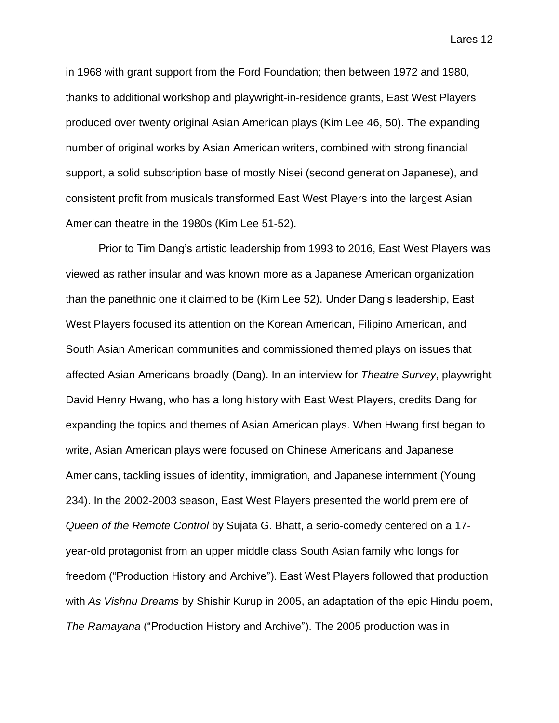in 1968 with grant support from the Ford Foundation; then between 1972 and 1980, thanks to additional workshop and playwright-in-residence grants, East West Players produced over twenty original Asian American plays (Kim Lee 46, 50). The expanding number of original works by Asian American writers, combined with strong financial support, a solid subscription base of mostly Nisei (second generation Japanese), and consistent profit from musicals transformed East West Players into the largest Asian American theatre in the 1980s (Kim Lee 51-52).

Prior to Tim Dang's artistic leadership from 1993 to 2016, East West Players was viewed as rather insular and was known more as a Japanese American organization than the panethnic one it claimed to be (Kim Lee 52). Under Dang's leadership, East West Players focused its attention on the Korean American, Filipino American, and South Asian American communities and commissioned themed plays on issues that affected Asian Americans broadly (Dang). In an interview for *Theatre Survey*, playwright David Henry Hwang, who has a long history with East West Players, credits Dang for expanding the topics and themes of Asian American plays. When Hwang first began to write, Asian American plays were focused on Chinese Americans and Japanese Americans, tackling issues of identity, immigration, and Japanese internment (Young 234). In the 2002-2003 season, East West Players presented the world premiere of *Queen of the Remote Control* by Sujata G. Bhatt, a serio-comedy centered on a 17 year-old protagonist from an upper middle class South Asian family who longs for freedom ("Production History and Archive"). East West Players followed that production with *As Vishnu Dreams* by Shishir Kurup in 2005, an adaptation of the epic Hindu poem, *The Ramayana* ("Production History and Archive"). The 2005 production was in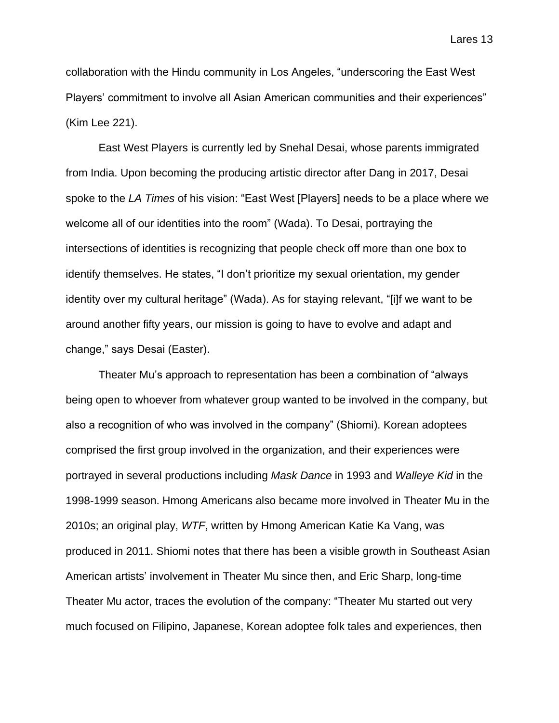collaboration with the Hindu community in Los Angeles, "underscoring the East West Players' commitment to involve all Asian American communities and their experiences" (Kim Lee 221).

East West Players is currently led by Snehal Desai, whose parents immigrated from India. Upon becoming the producing artistic director after Dang in 2017, Desai spoke to the *LA Times* of his vision: "East West [Players] needs to be a place where we welcome all of our identities into the room" (Wada). To Desai, portraying the intersections of identities is recognizing that people check off more than one box to identify themselves. He states, "I don't prioritize my sexual orientation, my gender identity over my cultural heritage" (Wada). As for staying relevant, "[i]f we want to be around another fifty years, our mission is going to have to evolve and adapt and change," says Desai (Easter).

Theater Mu's approach to representation has been a combination of "always being open to whoever from whatever group wanted to be involved in the company, but also a recognition of who was involved in the company" (Shiomi). Korean adoptees comprised the first group involved in the organization, and their experiences were portrayed in several productions including *Mask Dance* in 1993 and *Walleye Kid* in the 1998-1999 season. Hmong Americans also became more involved in Theater Mu in the 2010s; an original play, *WTF*, written by Hmong American Katie Ka Vang, was produced in 2011. Shiomi notes that there has been a visible growth in Southeast Asian American artists' involvement in Theater Mu since then, and Eric Sharp, long-time Theater Mu actor, traces the evolution of the company: "Theater Mu started out very much focused on Filipino, Japanese, Korean adoptee folk tales and experiences, then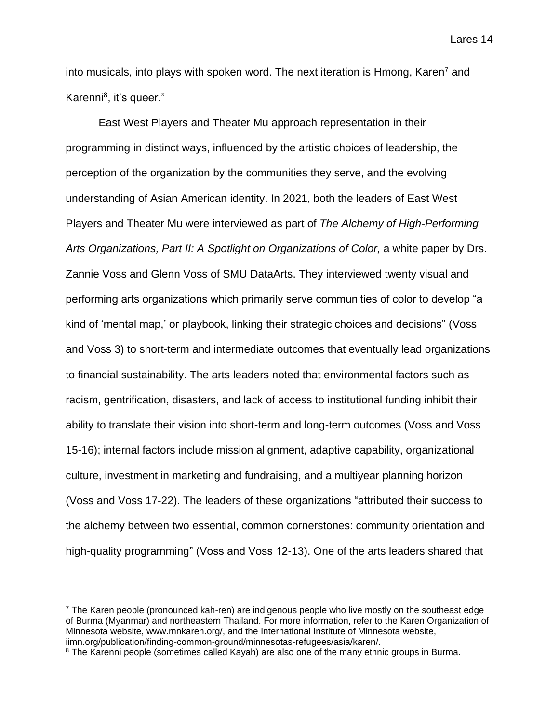into musicals, into plays with spoken word. The next iteration is Hmong, Karen<sup>7</sup> and Karenni<sup>8</sup>, it's queer."

East West Players and Theater Mu approach representation in their programming in distinct ways, influenced by the artistic choices of leadership, the perception of the organization by the communities they serve, and the evolving understanding of Asian American identity. In 2021, both the leaders of East West Players and Theater Mu were interviewed as part of *The Alchemy of High-Performing Arts Organizations, Part II: A Spotlight on Organizations of Color, a white paper by Drs.* Zannie Voss and Glenn Voss of SMU DataArts. They interviewed twenty visual and performing arts organizations which primarily serve communities of color to develop "a kind of 'mental map,' or playbook, linking their strategic choices and decisions" (Voss and Voss 3) to short-term and intermediate outcomes that eventually lead organizations to financial sustainability. The arts leaders noted that environmental factors such as racism, gentrification, disasters, and lack of access to institutional funding inhibit their ability to translate their vision into short-term and long-term outcomes (Voss and Voss 15-16); internal factors include mission alignment, adaptive capability, organizational culture, investment in marketing and fundraising, and a multiyear planning horizon (Voss and Voss 17-22). The leaders of these organizations "attributed their success to the alchemy between two essential, common cornerstones: community orientation and high-quality programming" (Voss and Voss 12-13). One of the arts leaders shared that

 $7$  The Karen people (pronounced kah-ren) are indigenous people who live mostly on the southeast edge of Burma (Myanmar) and northeastern Thailand. For more information, refer to the Karen Organization of Minnesota website, www.mnkaren.org/, and the International Institute of Minnesota website, iimn.org/publication/finding-common-ground/minnesotas-refugees/asia/karen/.

<sup>&</sup>lt;sup>8</sup> The Karenni people (sometimes called Kayah) are also one of the many ethnic groups in Burma.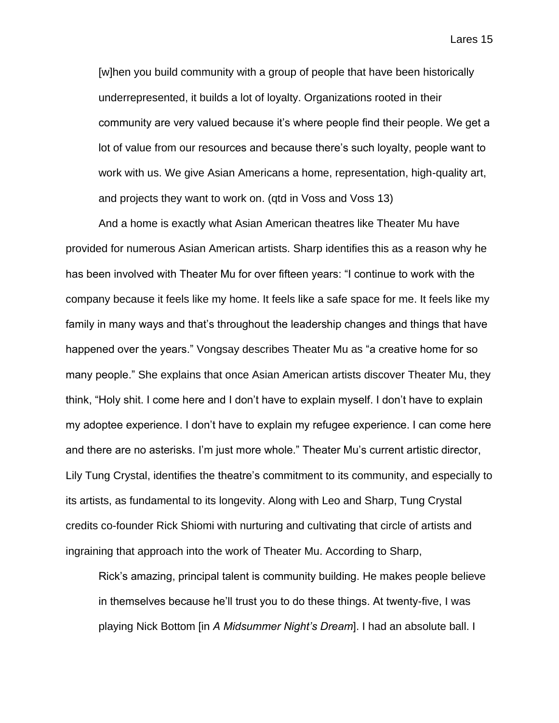[w]hen you build community with a group of people that have been historically underrepresented, it builds a lot of loyalty. Organizations rooted in their community are very valued because it's where people find their people. We get a lot of value from our resources and because there's such loyalty, people want to work with us. We give Asian Americans a home, representation, high-quality art, and projects they want to work on. (qtd in Voss and Voss 13)

And a home is exactly what Asian American theatres like Theater Mu have provided for numerous Asian American artists. Sharp identifies this as a reason why he has been involved with Theater Mu for over fifteen years: "I continue to work with the company because it feels like my home. It feels like a safe space for me. It feels like my family in many ways and that's throughout the leadership changes and things that have happened over the years." Vongsay describes Theater Mu as "a creative home for so many people." She explains that once Asian American artists discover Theater Mu, they think, "Holy shit. I come here and I don't have to explain myself. I don't have to explain my adoptee experience. I don't have to explain my refugee experience. I can come here and there are no asterisks. I'm just more whole." Theater Mu's current artistic director, Lily Tung Crystal, identifies the theatre's commitment to its community, and especially to its artists, as fundamental to its longevity. Along with Leo and Sharp, Tung Crystal credits co-founder Rick Shiomi with nurturing and cultivating that circle of artists and ingraining that approach into the work of Theater Mu. According to Sharp,

Rick's amazing, principal talent is community building. He makes people believe in themselves because he'll trust you to do these things. At twenty-five, I was playing Nick Bottom [in *A Midsummer Night's Dream*]. I had an absolute ball. I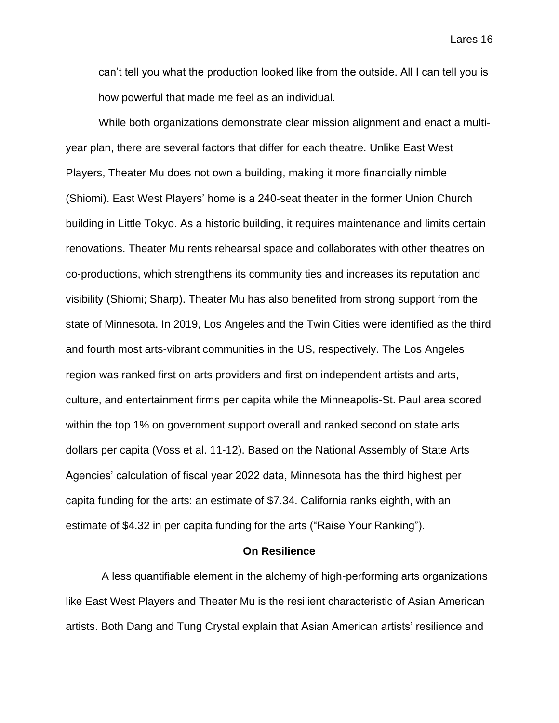can't tell you what the production looked like from the outside. All I can tell you is how powerful that made me feel as an individual.

While both organizations demonstrate clear mission alignment and enact a multiyear plan, there are several factors that differ for each theatre. Unlike East West Players, Theater Mu does not own a building, making it more financially nimble (Shiomi). East West Players' home is a 240-seat theater in the former Union Church building in Little Tokyo. As a historic building, it requires maintenance and limits certain renovations. Theater Mu rents rehearsal space and collaborates with other theatres on co-productions, which strengthens its community ties and increases its reputation and visibility (Shiomi; Sharp). Theater Mu has also benefited from strong support from the state of Minnesota. In 2019, Los Angeles and the Twin Cities were identified as the third and fourth most arts-vibrant communities in the US, respectively. The Los Angeles region was ranked first on arts providers and first on independent artists and arts, culture, and entertainment firms per capita while the Minneapolis-St. Paul area scored within the top 1% on government support overall and ranked second on state arts dollars per capita (Voss et al. 11-12). Based on the National Assembly of State Arts Agencies' calculation of fiscal year 2022 data, Minnesota has the third highest per capita funding for the arts: an estimate of \$7.34. California ranks eighth, with an estimate of \$4.32 in per capita funding for the arts ("Raise Your Ranking").

### **On Resilience**

A less quantifiable element in the alchemy of high-performing arts organizations like East West Players and Theater Mu is the resilient characteristic of Asian American artists. Both Dang and Tung Crystal explain that Asian American artists' resilience and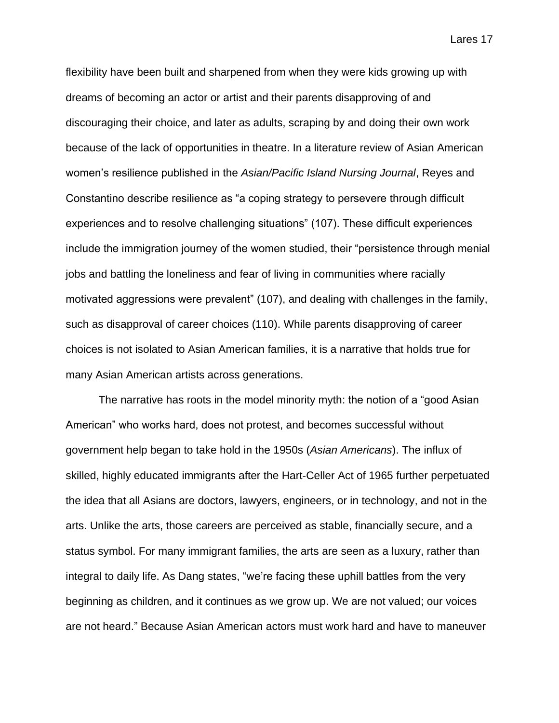flexibility have been built and sharpened from when they were kids growing up with dreams of becoming an actor or artist and their parents disapproving of and discouraging their choice, and later as adults, scraping by and doing their own work because of the lack of opportunities in theatre. In a literature review of Asian American women's resilience published in the *Asian/Pacific Island Nursing Journal*, Reyes and Constantino describe resilience as "a coping strategy to persevere through difficult experiences and to resolve challenging situations" (107). These difficult experiences include the immigration journey of the women studied, their "persistence through menial jobs and battling the loneliness and fear of living in communities where racially motivated aggressions were prevalent" (107), and dealing with challenges in the family, such as disapproval of career choices (110). While parents disapproving of career choices is not isolated to Asian American families, it is a narrative that holds true for many Asian American artists across generations.

The narrative has roots in the model minority myth: the notion of a "good Asian American" who works hard, does not protest, and becomes successful without government help began to take hold in the 1950s (*Asian Americans*). The influx of skilled, highly educated immigrants after the Hart-Celler Act of 1965 further perpetuated the idea that all Asians are doctors, lawyers, engineers, or in technology, and not in the arts. Unlike the arts, those careers are perceived as stable, financially secure, and a status symbol. For many immigrant families, the arts are seen as a luxury, rather than integral to daily life. As Dang states, "we're facing these uphill battles from the very beginning as children, and it continues as we grow up. We are not valued; our voices are not heard." Because Asian American actors must work hard and have to maneuver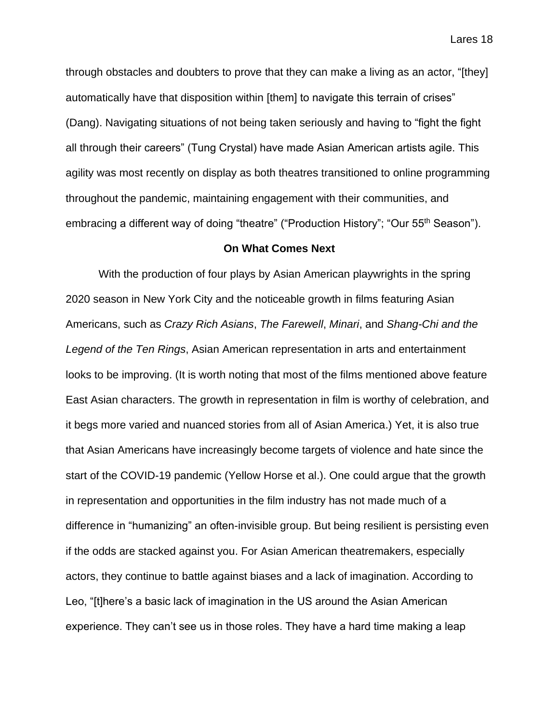through obstacles and doubters to prove that they can make a living as an actor, "[they] automatically have that disposition within [them] to navigate this terrain of crises" (Dang). Navigating situations of not being taken seriously and having to "fight the fight all through their careers" (Tung Crystal) have made Asian American artists agile. This agility was most recently on display as both theatres transitioned to online programming throughout the pandemic, maintaining engagement with their communities, and embracing a different way of doing "theatre" ("Production History"; "Our 55<sup>th</sup> Season").

### **On What Comes Next**

With the production of four plays by Asian American playwrights in the spring 2020 season in New York City and the noticeable growth in films featuring Asian Americans, such as *Crazy Rich Asians*, *The Farewell*, *Minari*, and *Shang-Chi and the Legend of the Ten Rings*, Asian American representation in arts and entertainment looks to be improving. (It is worth noting that most of the films mentioned above feature East Asian characters. The growth in representation in film is worthy of celebration, and it begs more varied and nuanced stories from all of Asian America.) Yet, it is also true that Asian Americans have increasingly become targets of violence and hate since the start of the COVID-19 pandemic (Yellow Horse et al.). One could argue that the growth in representation and opportunities in the film industry has not made much of a difference in "humanizing" an often-invisible group. But being resilient is persisting even if the odds are stacked against you. For Asian American theatremakers, especially actors, they continue to battle against biases and a lack of imagination. According to Leo, "[t]here's a basic lack of imagination in the US around the Asian American experience. They can't see us in those roles. They have a hard time making a leap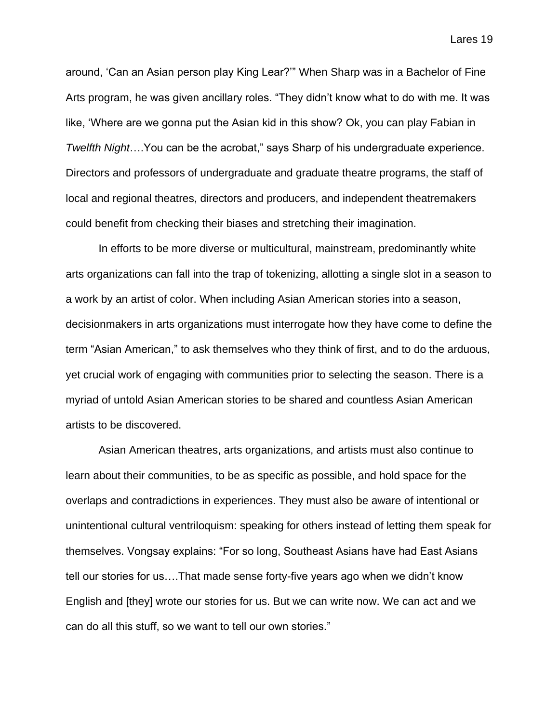around, 'Can an Asian person play King Lear?'" When Sharp was in a Bachelor of Fine Arts program, he was given ancillary roles. "They didn't know what to do with me. It was like, 'Where are we gonna put the Asian kid in this show? Ok, you can play Fabian in *Twelfth Night*….You can be the acrobat," says Sharp of his undergraduate experience. Directors and professors of undergraduate and graduate theatre programs, the staff of local and regional theatres, directors and producers, and independent theatremakers could benefit from checking their biases and stretching their imagination.

In efforts to be more diverse or multicultural, mainstream, predominantly white arts organizations can fall into the trap of tokenizing, allotting a single slot in a season to a work by an artist of color. When including Asian American stories into a season, decisionmakers in arts organizations must interrogate how they have come to define the term "Asian American," to ask themselves who they think of first, and to do the arduous, yet crucial work of engaging with communities prior to selecting the season. There is a myriad of untold Asian American stories to be shared and countless Asian American artists to be discovered.

Asian American theatres, arts organizations, and artists must also continue to learn about their communities, to be as specific as possible, and hold space for the overlaps and contradictions in experiences. They must also be aware of intentional or unintentional cultural ventriloquism: speaking for others instead of letting them speak for themselves. Vongsay explains: "For so long, Southeast Asians have had East Asians tell our stories for us….That made sense forty-five years ago when we didn't know English and [they] wrote our stories for us. But we can write now. We can act and we can do all this stuff, so we want to tell our own stories."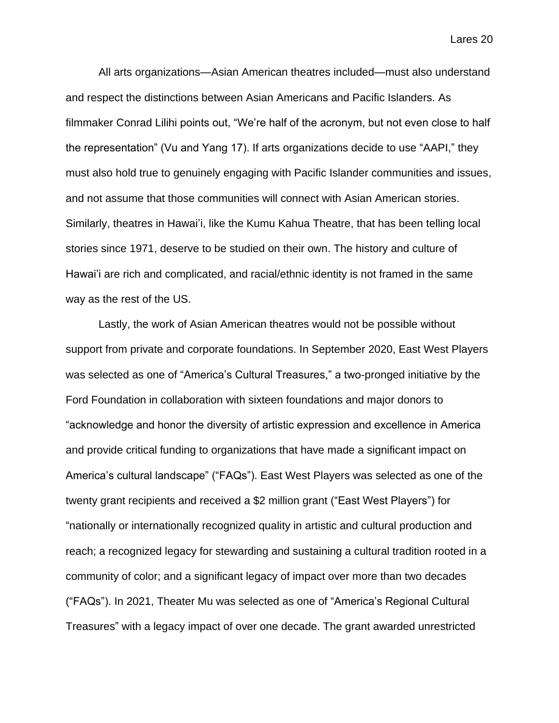All arts organizations—Asian American theatres included—must also understand and respect the distinctions between Asian Americans and Pacific Islanders. As filmmaker Conrad Lilihi points out, "We're half of the acronym, but not even close to half the representation" (Vu and Yang 17). If arts organizations decide to use "AAPI," they must also hold true to genuinely engaging with Pacific Islander communities and issues, and not assume that those communities will connect with Asian American stories. Similarly, theatres in Hawai'i, like the Kumu Kahua Theatre, that has been telling local stories since 1971, deserve to be studied on their own. The history and culture of Hawai'i are rich and complicated, and racial/ethnic identity is not framed in the same way as the rest of the US.

Lastly, the work of Asian American theatres would not be possible without support from private and corporate foundations. In September 2020, East West Players was selected as one of "America's Cultural Treasures," a two-pronged initiative by the Ford Foundation in collaboration with sixteen foundations and major donors to "acknowledge and honor the diversity of artistic expression and excellence in America and provide critical funding to organizations that have made a significant impact on America's cultural landscape" ("FAQs"). East West Players was selected as one of the twenty grant recipients and received a \$2 million grant ("East West Players") for "nationally or internationally recognized quality in artistic and cultural production and reach; a recognized legacy for stewarding and sustaining a cultural tradition rooted in a community of color; and a significant legacy of impact over more than two decades ("FAQs"). In 2021, Theater Mu was selected as one of "America's Regional Cultural Treasures" with a legacy impact of over one decade. The grant awarded unrestricted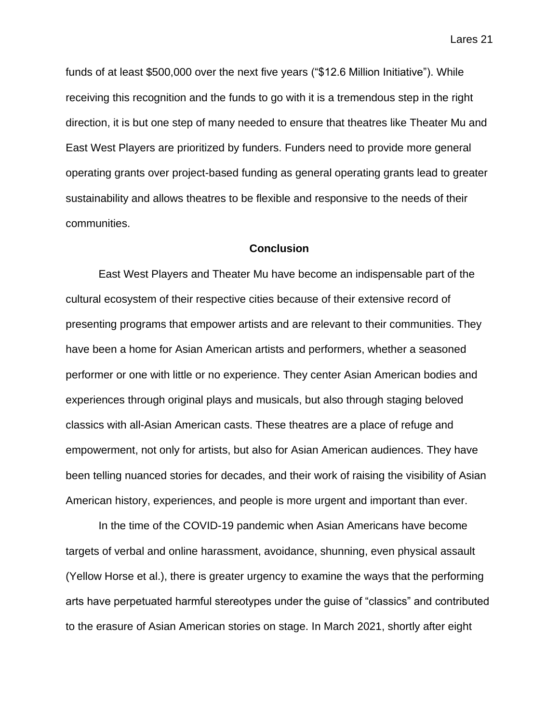funds of at least \$500,000 over the next five years ("\$12.6 Million Initiative"). While receiving this recognition and the funds to go with it is a tremendous step in the right direction, it is but one step of many needed to ensure that theatres like Theater Mu and East West Players are prioritized by funders. Funders need to provide more general operating grants over project-based funding as general operating grants lead to greater sustainability and allows theatres to be flexible and responsive to the needs of their communities.

### **Conclusion**

East West Players and Theater Mu have become an indispensable part of the cultural ecosystem of their respective cities because of their extensive record of presenting programs that empower artists and are relevant to their communities. They have been a home for Asian American artists and performers, whether a seasoned performer or one with little or no experience. They center Asian American bodies and experiences through original plays and musicals, but also through staging beloved classics with all-Asian American casts. These theatres are a place of refuge and empowerment, not only for artists, but also for Asian American audiences. They have been telling nuanced stories for decades, and their work of raising the visibility of Asian American history, experiences, and people is more urgent and important than ever.

In the time of the COVID-19 pandemic when Asian Americans have become targets of verbal and online harassment, avoidance, shunning, even physical assault (Yellow Horse et al.), there is greater urgency to examine the ways that the performing arts have perpetuated harmful stereotypes under the guise of "classics" and contributed to the erasure of Asian American stories on stage. In March 2021, shortly after eight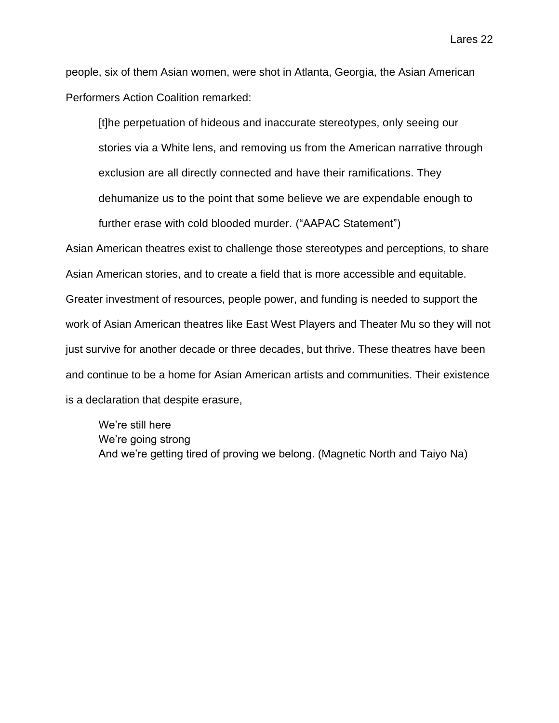people, six of them Asian women, were shot in Atlanta, Georgia, the Asian American Performers Action Coalition remarked:

[t]he perpetuation of hideous and inaccurate stereotypes, only seeing our stories via a White lens, and removing us from the American narrative through exclusion are all directly connected and have their ramifications. They dehumanize us to the point that some believe we are expendable enough to further erase with cold blooded murder. ("AAPAC Statement")

Asian American theatres exist to challenge those stereotypes and perceptions, to share Asian American stories, and to create a field that is more accessible and equitable. Greater investment of resources, people power, and funding is needed to support the work of Asian American theatres like East West Players and Theater Mu so they will not just survive for another decade or three decades, but thrive. These theatres have been and continue to be a home for Asian American artists and communities. Their existence is a declaration that despite erasure,

We're still here We're going strong And we're getting tired of proving we belong. (Magnetic North and Taiyo Na)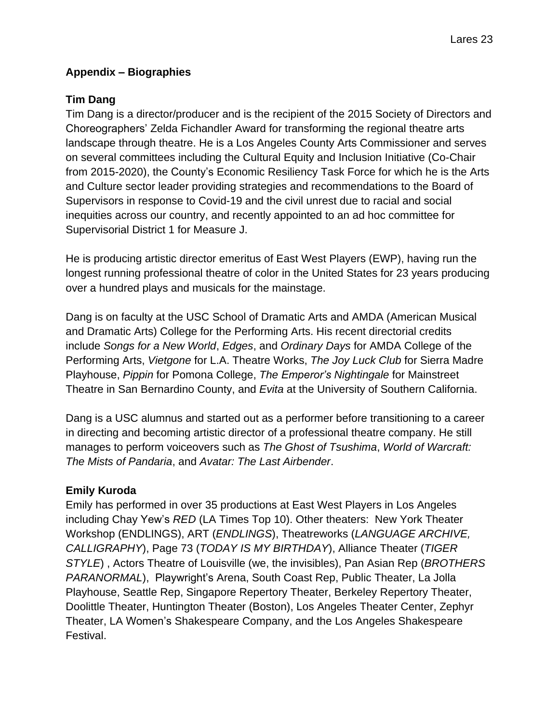# **Appendix – Biographies**

# **Tim Dang**

Tim Dang is a director/producer and is the recipient of the 2015 Society of Directors and Choreographers' Zelda Fichandler Award for transforming the regional theatre arts landscape through theatre. He is a Los Angeles County Arts Commissioner and serves on several committees including the Cultural Equity and Inclusion Initiative (Co-Chair from 2015-2020), the County's Economic Resiliency Task Force for which he is the Arts and Culture sector leader providing strategies and recommendations to the Board of Supervisors in response to Covid-19 and the civil unrest due to racial and social inequities across our country, and recently appointed to an ad hoc committee for Supervisorial District 1 for Measure J.

He is producing artistic director emeritus of East West Players (EWP), having run the longest running professional theatre of color in the United States for 23 years producing over a hundred plays and musicals for the mainstage.

Dang is on faculty at the USC School of Dramatic Arts and AMDA (American Musical and Dramatic Arts) College for the Performing Arts. His recent directorial credits include *Songs for a New World*, *Edges*, and *Ordinary Days* for AMDA College of the Performing Arts, *Vietgone* for L.A. Theatre Works, *The Joy Luck Club* for Sierra Madre Playhouse, *Pippin* for Pomona College, *The Emperor's Nightingale* for Mainstreet Theatre in San Bernardino County, and *Evita* at the University of Southern California.

Dang is a USC alumnus and started out as a performer before transitioning to a career in directing and becoming artistic director of a professional theatre company. He still manages to perform voiceovers such as *The Ghost of Tsushima*, *World of Warcraft: The Mists of Pandaria*, and *Avatar: The Last Airbender*.

## **Emily Kuroda**

Emily has performed in over 35 productions at East West Players in Los Angeles including Chay Yew's *RED* (LA Times Top 10). Other theaters: New York Theater Workshop (ENDLINGS), ART (*ENDLINGS*), Theatreworks (*LANGUAGE ARCHIVE, CALLIGRAPHY*), Page 73 (*TODAY IS MY BIRTHDAY*), Alliance Theater (*TIGER STYLE*) , Actors Theatre of Louisville (we, the invisibles), Pan Asian Rep (*BROTHERS PARANORMAL*), Playwright's Arena, South Coast Rep, Public Theater, La Jolla Playhouse, Seattle Rep, Singapore Repertory Theater, Berkeley Repertory Theater, Doolittle Theater, Huntington Theater (Boston), Los Angeles Theater Center, Zephyr Theater, LA Women's Shakespeare Company, and the Los Angeles Shakespeare Festival.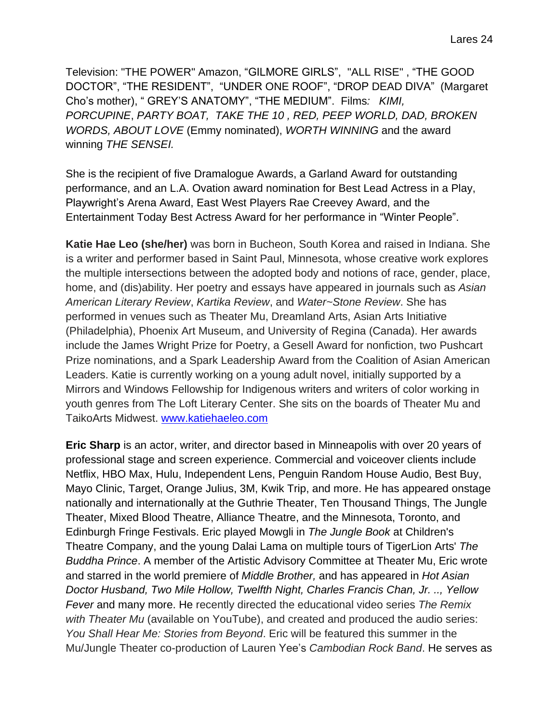Television: "THE POWER" Amazon, "GILMORE GIRLS", "ALL RISE" , "THE GOOD DOCTOR", "THE RESIDENT", "UNDER ONE ROOF", "DROP DEAD DIVA" (Margaret Cho's mother), " GREY'S ANATOMY", "THE MEDIUM". Films*: KIMI, PORCUPINE*, *PARTY BOAT, TAKE THE 10 , RED, PEEP WORLD, DAD, BROKEN WORDS, ABOUT LOVE* (Emmy nominated), *WORTH WINNING* and the award winning *THE SENSEI.*

She is the recipient of five Dramalogue Awards, a Garland Award for outstanding performance, and an L.A. Ovation award nomination for Best Lead Actress in a Play, Playwright's Arena Award, East West Players Rae Creevey Award, and the Entertainment Today Best Actress Award for her performance in "Winter People".

**Katie Hae Leo (she/her)** was born in Bucheon, South Korea and raised in Indiana. She is a writer and performer based in Saint Paul, Minnesota, whose creative work explores the multiple intersections between the adopted body and notions of race, gender, place, home, and (dis)ability. Her poetry and essays have appeared in journals such as *Asian American Literary Review*, *Kartika Review*, and *Water~Stone Review*. She has performed in venues such as Theater Mu, Dreamland Arts, Asian Arts Initiative (Philadelphia), Phoenix Art Museum, and University of Regina (Canada). Her awards include the James Wright Prize for Poetry, a Gesell Award for nonfiction, two Pushcart Prize nominations, and a Spark Leadership Award from the Coalition of Asian American Leaders. Katie is currently working on a young adult novel, initially supported by a Mirrors and Windows Fellowship for Indigenous writers and writers of color working in youth genres from The Loft Literary Center. She sits on the boards of Theater Mu and TaikoArts Midwest. [www.katiehaeleo.com](http://www.katiehaeleo.com/)

**Eric Sharp** is an actor, writer, and director based in Minneapolis with over 20 years of professional stage and screen experience. Commercial and voiceover clients include Netflix, HBO Max, Hulu, Independent Lens, Penguin Random House Audio, Best Buy, Mayo Clinic, Target, Orange Julius, 3M, Kwik Trip, and more. He has appeared onstage nationally and internationally at the Guthrie Theater, Ten Thousand Things, The Jungle Theater, Mixed Blood Theatre, Alliance Theatre, and the Minnesota, Toronto, and Edinburgh Fringe Festivals. Eric played Mowgli in *The Jungle Book* at Children's Theatre Company, and the young Dalai Lama on multiple tours of TigerLion Arts' *The Buddha Prince*. A member of the Artistic Advisory Committee at Theater Mu, Eric wrote and starred in the world premiere of *Middle Brother,* and has appeared in *Hot Asian Doctor Husband, Two Mile Hollow, Twelfth Night, Charles Francis Chan, Jr. .., Yellow Fever* and many more. He recently directed the educational video series *The Remix with Theater Mu* (available on YouTube), and created and produced the audio series: *You Shall Hear Me: Stories from Beyond*. Eric will be featured this summer in the Mu/Jungle Theater co-production of Lauren Yee's *Cambodian Rock Band*. He serves as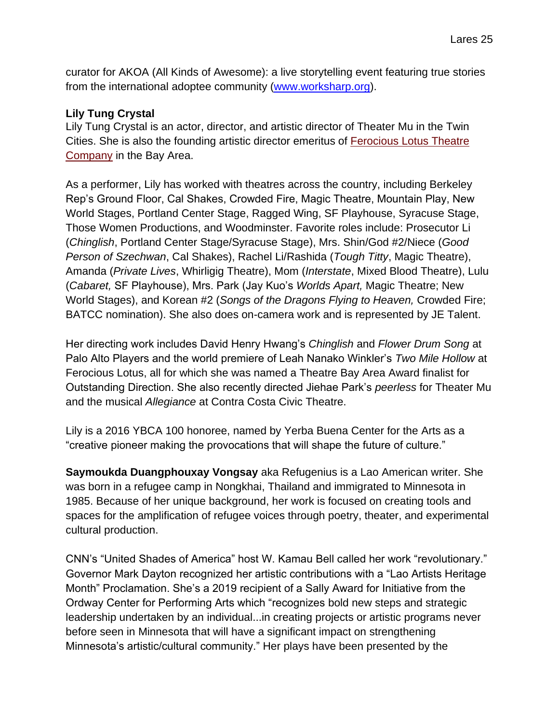curator for AKOA (All Kinds of Awesome): a live storytelling event featuring true stories from the international adoptee community [\(www.worksharp.org\)](http://www.worksharp.org/).

### **Lily Tung Crystal**

Lily Tung Crystal is an actor, director, and artistic director of Theater Mu in the Twin Cities. She is also the founding artistic director emeritus of [Ferocious Lotus Theatre](http://www.ferociouslotus.org/)  [Company](http://www.ferociouslotus.org/) in the Bay Area.

As a performer, Lily has worked with theatres across the country, including Berkeley Rep's Ground Floor, Cal Shakes, Crowded Fire, Magic Theatre, Mountain Play, New World Stages, Portland Center Stage, Ragged Wing, SF Playhouse, Syracuse Stage, Those Women Productions, and Woodminster. Favorite roles include: Prosecutor Li (*Chinglish*, Portland Center Stage/Syracuse Stage), Mrs. Shin/God #2/Niece (*Good Person of Szechwan*, Cal Shakes), Rachel Li/Rashida (*Tough Titty*, Magic Theatre), Amanda (*Private Lives*, Whirligig Theatre), Mom (*Interstate*, Mixed Blood Theatre), Lulu (*Cabaret,* SF Playhouse), Mrs. Park (Jay Kuo's *Worlds Apart,* Magic Theatre; New World Stages), and Korean #2 (*Songs of the Dragons Flying to Heaven,* Crowded Fire; BATCC nomination). She also does on-camera work and is represented by JE Talent.

Her directing work includes David Henry Hwang's *Chinglish* and *Flower Drum Song* at Palo Alto Players and the world premiere of Leah Nanako Winkler's *Two Mile Hollow* at Ferocious Lotus, all for which she was named a Theatre Bay Area Award finalist for Outstanding Direction. She also recently directed Jiehae Park's *peerless* for Theater Mu and the musical *Allegiance* at Contra Costa Civic Theatre.

Lily is a 2016 YBCA 100 honoree, named by Yerba Buena Center for the Arts as a "creative pioneer making the provocations that will shape the future of culture."

**Saymoukda Duangphouxay Vongsay** aka Refugenius is a Lao American writer. She was born in a refugee camp in Nongkhai, Thailand and immigrated to Minnesota in 1985. Because of her unique background, her work is focused on creating tools and spaces for the amplification of refugee voices through poetry, theater, and experimental cultural production.

CNN's "United Shades of America" host W. Kamau Bell called her work "revolutionary." Governor Mark Dayton recognized her artistic contributions with a "Lao Artists Heritage Month" Proclamation. She's a 2019 recipient of a Sally Award for Initiative from the Ordway Center for Performing Arts which "recognizes bold new steps and strategic leadership undertaken by an individual...in creating projects or artistic programs never before seen in Minnesota that will have a significant impact on strengthening Minnesota's artistic/cultural community." Her plays have been presented by the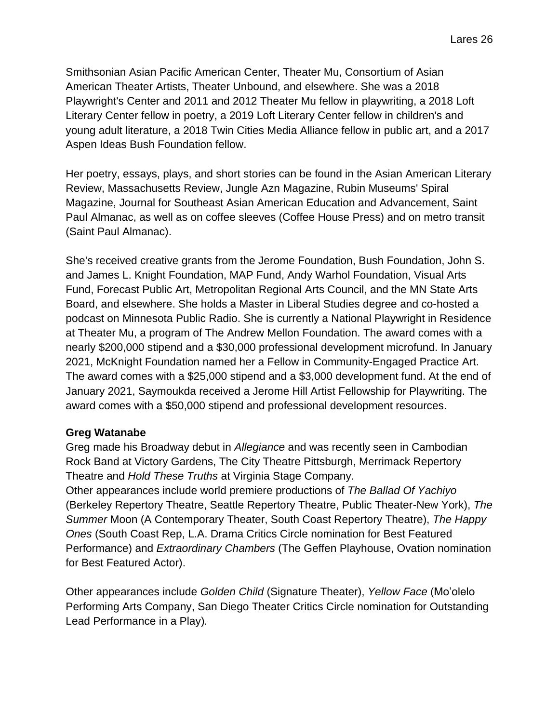Smithsonian Asian Pacific American Center, Theater Mu, Consortium of Asian American Theater Artists, Theater Unbound, and elsewhere. She was a 2018 Playwright's Center and 2011 and 2012 Theater Mu fellow in playwriting, a 2018 Loft Literary Center fellow in poetry, a 2019 Loft Literary Center fellow in children's and young adult literature, a 2018 Twin Cities Media Alliance fellow in public art, and a 2017 Aspen Ideas Bush Foundation fellow.

Her poetry, essays, plays, and short stories can be found in the Asian American Literary Review, Massachusetts Review, Jungle Azn Magazine, Rubin Museums' Spiral Magazine, Journal for Southeast Asian American Education and Advancement, Saint Paul Almanac, as well as on coffee sleeves (Coffee House Press) and on metro transit (Saint Paul Almanac).

She's received creative grants from the Jerome Foundation, Bush Foundation, John S. and James L. Knight Foundation, MAP Fund, Andy Warhol Foundation, Visual Arts Fund, Forecast Public Art, Metropolitan Regional Arts Council, and the MN State Arts Board, and elsewhere. She holds a Master in Liberal Studies degree and co-hosted a podcast on Minnesota Public Radio. She is currently a National Playwright in Residence at Theater Mu, a program of The Andrew Mellon Foundation. The award comes with a nearly \$200,000 stipend and a \$30,000 professional development microfund. In January 2021, McKnight Foundation named her a Fellow in Community-Engaged Practice Art. The award comes with a \$25,000 stipend and a \$3,000 development fund. At the end of January 2021, Saymoukda received a Jerome Hill Artist Fellowship for Playwriting. The award comes with a \$50,000 stipend and professional development resources.

### **Greg Watanabe**

Greg made his Broadway debut in *Allegiance* and was recently seen in Cambodian Rock Band at Victory Gardens, The City Theatre Pittsburgh, Merrimack Repertory Theatre and *Hold These Truths* at Virginia Stage Company.

Other appearances include world premiere productions of *The Ballad Of Yachiyo* (Berkeley Repertory Theatre, Seattle Repertory Theatre, Public Theater-New York), *The Summer* Moon (A Contemporary Theater, South Coast Repertory Theatre), *The Happy Ones* (South Coast Rep, L.A. Drama Critics Circle nomination for Best Featured Performance) and *Extraordinary Chambers* (The Geffen Playhouse, Ovation nomination for Best Featured Actor).

Other appearances include *Golden Child* (Signature Theater), *Yellow Face* (Mo'olelo Performing Arts Company, San Diego Theater Critics Circle nomination for Outstanding Lead Performance in a Play)*.*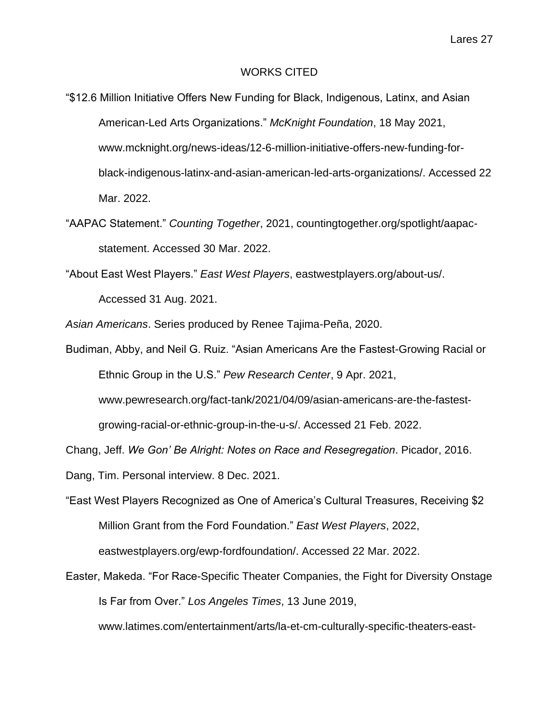### WORKS CITED

- "\$12.6 Million Initiative Offers New Funding for Black, Indigenous, Latinx, and Asian American-Led Arts Organizations." *McKnight Foundation*, 18 May 2021, www.mcknight.org/news-ideas/12-6-million-initiative-offers-new-funding-forblack-indigenous-latinx-and-asian-american-led-arts-organizations/. Accessed 22 Mar. 2022.
- "AAPAC Statement." *Counting Together*, 2021, countingtogether.org/spotlight/aapacstatement. Accessed 30 Mar. 2022.

"About East West Players." *East West Players*, eastwestplayers.org/about-us/. Accessed 31 Aug. 2021.

*Asian Americans*. Series produced by Renee Tajima-Peña, 2020.

Budiman, Abby, and Neil G. Ruiz. "Asian Americans Are the Fastest-Growing Racial or Ethnic Group in the U.S." *Pew Research Center*, 9 Apr. 2021,

www.pewresearch.org/fact-tank/2021/04/09/asian-americans-are-the-fastest-

growing-racial-or-ethnic-group-in-the-u-s/. Accessed 21 Feb. 2022.

Chang, Jeff. *We Gon' Be Alright: Notes on Race and Resegregation*. Picador, 2016.

Dang, Tim. Personal interview. 8 Dec. 2021.

"East West Players Recognized as One of America's Cultural Treasures, Receiving \$2 Million Grant from the Ford Foundation." *East West Players*, 2022, eastwestplayers.org/ewp-fordfoundation/. Accessed 22 Mar. 2022.

Easter, Makeda. "For Race-Specific Theater Companies, the Fight for Diversity Onstage Is Far from Over." *Los Angeles Times*, 13 June 2019,

www.latimes.com/entertainment/arts/la-et-cm-culturally-specific-theaters-east-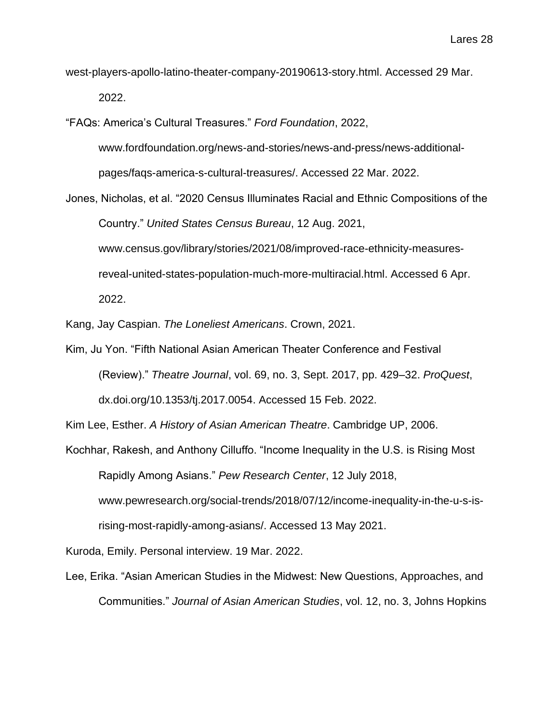west-players-apollo-latino-theater-company-20190613-story.html. Accessed 29 Mar. 2022.

"FAQs: America's Cultural Treasures." *Ford Foundation*, 2022, www.fordfoundation.org/news-and-stories/news-and-press/news-additionalpages/faqs-america-s-cultural-treasures/. Accessed 22 Mar. 2022.

Jones, Nicholas, et al. "2020 Census Illuminates Racial and Ethnic Compositions of the Country." *United States Census Bureau*, 12 Aug. 2021, www.census.gov/library/stories/2021/08/improved-race-ethnicity-measuresreveal-united-states-population-much-more-multiracial.html. Accessed 6 Apr. 2022.

Kang, Jay Caspian. *The Loneliest Americans*. Crown, 2021.

Kim, Ju Yon. "Fifth National Asian American Theater Conference and Festival (Review)." *Theatre Journal*, vol. 69, no. 3, Sept. 2017, pp. 429–32. *ProQuest*, dx.doi.org/10.1353/tj.2017.0054. Accessed 15 Feb. 2022.

Kim Lee, Esther. *A History of Asian American Theatre*. Cambridge UP, 2006.

Kochhar, Rakesh, and Anthony Cilluffo. "Income Inequality in the U.S. is Rising Most Rapidly Among Asians." *Pew Research Center*, 12 July 2018,

www.pewresearch.org/social-trends/2018/07/12/income-inequality-in-the-u-s-is-

rising-most-rapidly-among-asians/. Accessed 13 May 2021.

Kuroda, Emily. Personal interview. 19 Mar. 2022.

Lee, Erika. "Asian American Studies in the Midwest: New Questions, Approaches, and Communities." *Journal of Asian American Studies*, vol. 12, no. 3, Johns Hopkins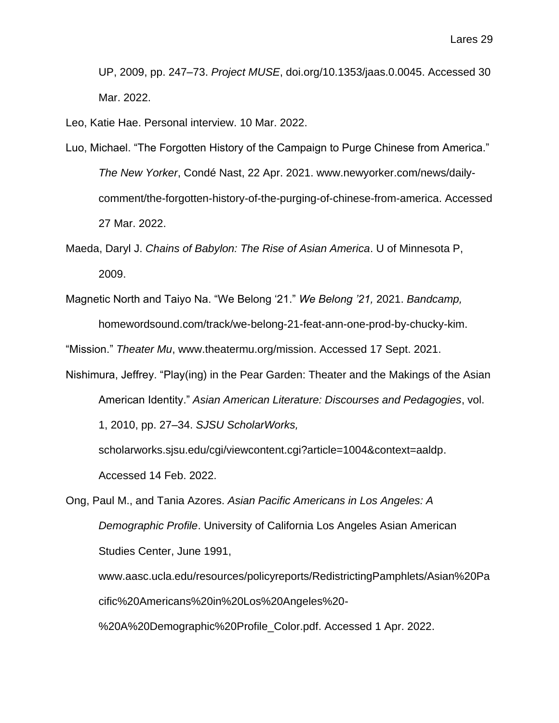UP, 2009, pp. 247–73. *Project MUSE*, doi.org/10.1353/jaas.0.0045. Accessed 30 Mar. 2022.

Leo, Katie Hae. Personal interview. 10 Mar. 2022.

- Luo, Michael. "The Forgotten History of the Campaign to Purge Chinese from America." *The New Yorker*, Condé Nast, 22 Apr. 2021. www.newyorker.com/news/dailycomment/the-forgotten-history-of-the-purging-of-chinese-from-america. Accessed 27 Mar. 2022.
- Maeda, Daryl J. *Chains of Babylon: The Rise of Asian America*. U of Minnesota P, 2009.
- Magnetic North and Taiyo Na. "We Belong '21." *We Belong '21,* 2021. *Bandcamp,*  homewordsound.com/track/we-belong-21-feat-ann-one-prod-by-chucky-kim.

"Mission." *Theater Mu*, www.theatermu.org/mission. Accessed 17 Sept. 2021.

Nishimura, Jeffrey. "Play(ing) in the Pear Garden: Theater and the Makings of the Asian American Identity." *Asian American Literature: Discourses and Pedagogies*, vol. 1, 2010, pp. 27–34. *SJSU ScholarWorks,*

scholarworks.sjsu.edu/cgi/viewcontent.cgi?article=1004&context=aaldp. Accessed 14 Feb. 2022.

Ong, Paul M., and Tania Azores. *Asian Pacific Americans in Los Angeles: A Demographic Profile*. University of California Los Angeles Asian American Studies Center, June 1991,

www.aasc.ucla.edu/resources/policyreports/RedistrictingPamphlets/Asian%20Pa cific%20Americans%20in%20Los%20Angeles%20-

%20A%20Demographic%20Profile\_Color.pdf. Accessed 1 Apr. 2022.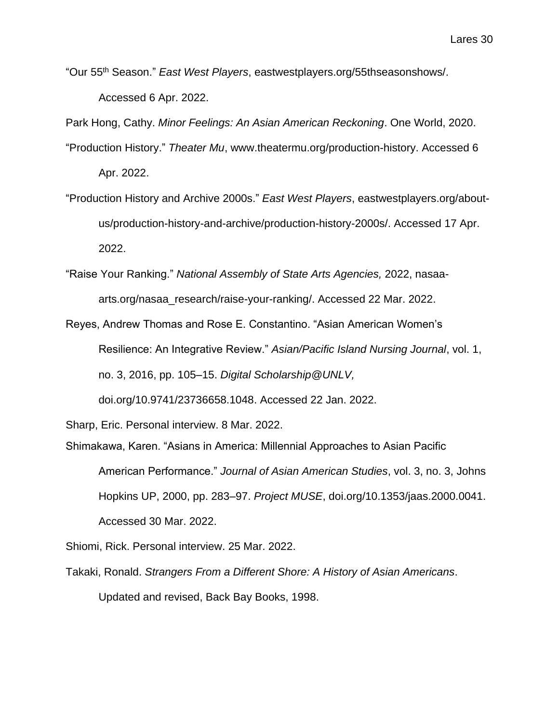"Our 55th Season." *East West Players*, eastwestplayers.org/55thseasonshows/. Accessed 6 Apr. 2022.

Park Hong, Cathy. *Minor Feelings: An Asian American Reckoning*. One World, 2020.

- "Production History." *Theater Mu*, www.theatermu.org/production-history. Accessed 6 Apr. 2022.
- "Production History and Archive 2000s." *East West Players*, eastwestplayers.org/aboutus/production-history-and-archive/production-history-2000s/. Accessed 17 Apr. 2022.
- "Raise Your Ranking." *National Assembly of State Arts Agencies,* 2022, nasaaarts.org/nasaa\_research/raise-your-ranking/. Accessed 22 Mar. 2022.
- Reyes, Andrew Thomas and Rose E. Constantino. "Asian American Women's Resilience: An Integrative Review." *Asian/Pacific Island Nursing Journal*, vol. 1, no. 3, 2016, pp. 105–15. *Digital Scholarship@UNLV,*

doi.org/10.9741/23736658.1048. Accessed 22 Jan. 2022.

Sharp, Eric. Personal interview. 8 Mar. 2022.

Shimakawa, Karen. "Asians in America: Millennial Approaches to Asian Pacific American Performance." *Journal of Asian American Studies*, vol. 3, no. 3, Johns Hopkins UP, 2000, pp. 283–97. *Project MUSE*, doi.org/10.1353/jaas.2000.0041. Accessed 30 Mar. 2022.

Shiomi, Rick. Personal interview. 25 Mar. 2022.

Takaki, Ronald. *Strangers From a Different Shore: A History of Asian Americans*.

Updated and revised, Back Bay Books, 1998.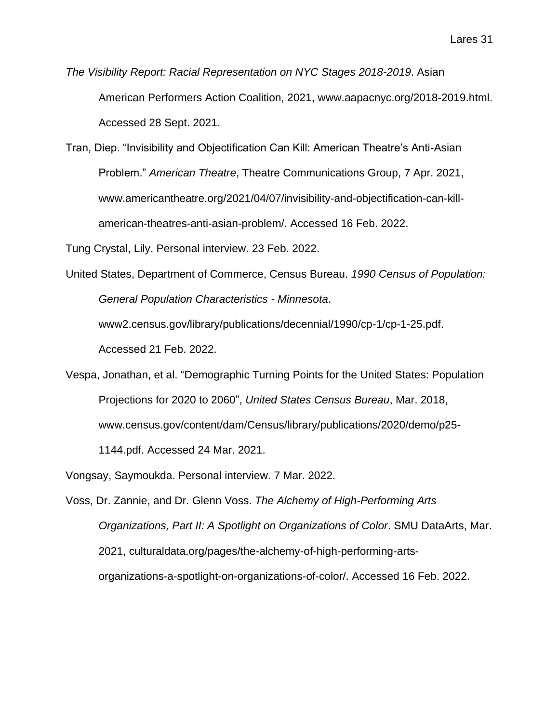*The Visibility Report: Racial Representation on NYC Stages 2018-2019*. Asian American Performers Action Coalition, 2021, www.aapacnyc.org/2018-2019.html. Accessed 28 Sept. 2021.

Tran, Diep. "Invisibility and Objectification Can Kill: American Theatre's Anti-Asian Problem." *American Theatre*, Theatre Communications Group, 7 Apr. 2021, www.americantheatre.org/2021/04/07/invisibility-and-objectification-can-killamerican-theatres-anti-asian-problem/. Accessed 16 Feb. 2022.

Tung Crystal, Lily. Personal interview. 23 Feb. 2022.

United States, Department of Commerce, Census Bureau. *1990 Census of Population: General Population Characteristics - Minnesota*.

www2.census.gov/library/publications/decennial/1990/cp-1/cp-1-25.pdf.

Accessed 21 Feb. 2022.

Vespa, Jonathan, et al. "Demographic Turning Points for the United States: Population Projections for 2020 to 2060", *United States Census Bureau*, Mar. 2018, www.census.gov/content/dam/Census/library/publications/2020/demo/p25- 1144.pdf. Accessed 24 Mar. 2021.

Vongsay, Saymoukda. Personal interview. 7 Mar. 2022.

Voss, Dr. Zannie, and Dr. Glenn Voss. *The Alchemy of High-Performing Arts Organizations, Part II: A Spotlight on Organizations of Color*. SMU DataArts, Mar. 2021, culturaldata.org/pages/the-alchemy-of-high-performing-artsorganizations-a-spotlight-on-organizations-of-color/. Accessed 16 Feb. 2022.